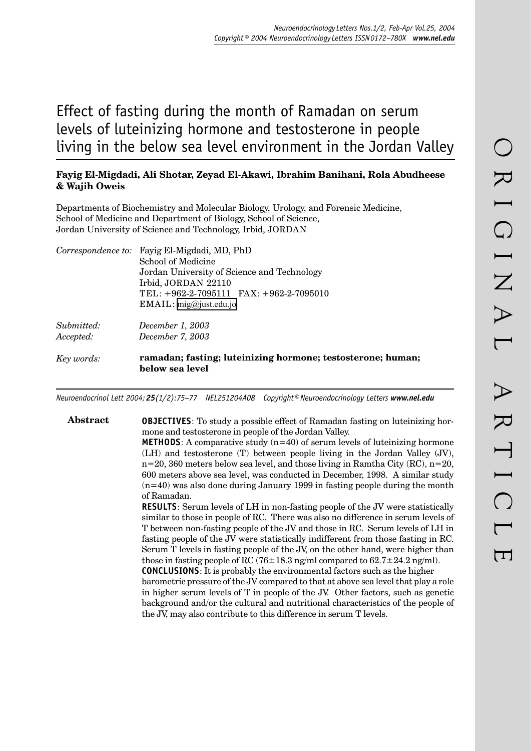# Effect of fasting during the month of Ramadan on serum levels of luteinizing hormone and testosterone in people living in the below sea level environment in the Jordan Valley

#### **Fayig El-Migdadi, Ali Shotar, Zeyad El-Akawi, Ibrahim Banihani, Rola Abudheese & Wajih Oweis**

Departments of Biochemistry and Molecular Biology, Urology, and Forensic Medicine, School of Medicine and Department of Biology, School of Science, Jordan University of Science and Technology, Irbid, JORDAN

|            | Correspondence to: Fayig El-Migdadi, MD, PhD                                   |  |  |  |
|------------|--------------------------------------------------------------------------------|--|--|--|
|            | School of Medicine                                                             |  |  |  |
|            | Jordan University of Science and Technology                                    |  |  |  |
|            | Irbid, JORDAN 22110                                                            |  |  |  |
|            | TEL: $+962-2-7095111$ FAX: $+962-2-7095010$                                    |  |  |  |
|            | EMAIL: mig@just.edu.io                                                         |  |  |  |
| Submitted: | December 1, 2003                                                               |  |  |  |
| Accepted:  | December 7, 2003                                                               |  |  |  |
| Key words: | ramadan; fasting; luteinizing hormone; testosterone; human;<br>below sea level |  |  |  |

*Neuroendocrinol Lett 2004; 25(1/2):75–77 NEL251204A08 Copyright © Neuroendocrinology Letters www.nel.edu*

**Abstract OBJECTIVES**: To study a possible effect of Ramadan fasting on luteinizing hormone and testosterone in people of the Jordan Valley. **METHODS:** A comparative study  $(n=40)$  of serum levels of luteinizing hormone (LH) and testosterone (T) between people living in the Jordan Valley (JV),  $n=20$ , 360 meters below sea level, and those living in Ramtha City (RC),  $n=20$ , 600 meters above sea level, was conducted in December, 1998. A similar study  $(n=40)$  was also done during January 1999 in fasting people during the month of Ramadan. **RESULTS**: Serum levels of LH in non-fasting people of the JV were statistically similar to those in people of RC. There was also no difference in serum levels of T between non-fasting people of the JV and those in RC. Serum levels of LH in fasting people of the JV were statistically indifferent from those fasting in RC. Serum T levels in fasting people of the JV, on the other hand, were higher than those in fasting people of RC (76 $\pm$ 18.3 ng/ml compared to 62.7 $\pm$ 24.2 ng/ml). **CONCLUSIONS**: It is probably the environmental factors such as the higher barometric pressure of the JV compared to that at above sea level that play a role in higher serum levels of T in people of the JV. Other factors, such as genetic background and/or the cultural and nutritional characteristics of the people of the JV, may also contribute to this difference in serum T levels.

74 *Neuroendocrinology Letters Nos.1/2 Feb-Apr Vol.25, 2004 Copyright © Neuroendocrinology Letters ISSN 0172–780X www.nel.edu* 75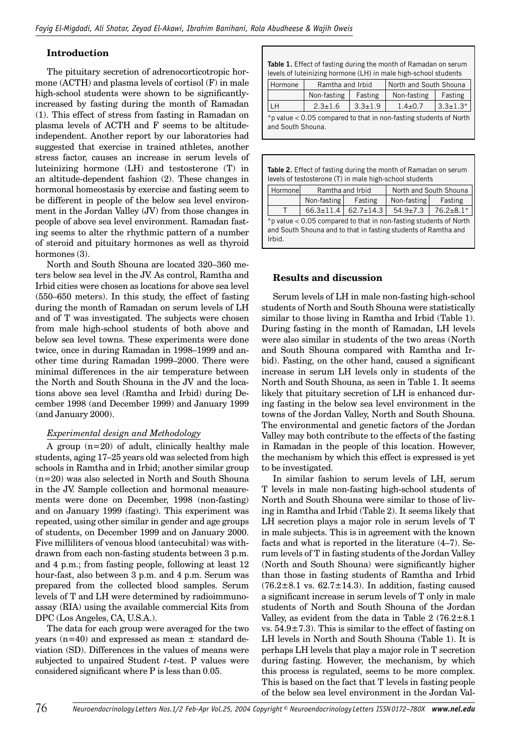## **Introduction**

The pituitary secretion of adrenocorticotropic hormone (ACTH) and plasma levels of cortisol (F) in male high-school students were shown to be significantlyincreased by fasting during the month of Ramadan (1). This effect of stress from fasting in Ramadan on plasma levels of ACTH and F seems to be altitudeindependent. Another report by our laboratories had suggested that exercise in trained athletes, another stress factor, causes an increase in serum levels of luteinizing hormone (LH) and testosterone (T) in an altitude-dependent fashion (2). These changes in hormonal homeostasis by exercise and fasting seem to be different in people of the below sea level environment in the Jordan Valley (JV) from those changes in people of above sea level environment. Ramadan fasting seems to alter the rhythmic pattern of a number of steroid and pituitary hormones as well as thyroid hormones (3).

North and South Shouna are located 320–360 meters below sea level in the JV. As control, Ramtha and Irbid cities were chosen as locations for above sea level (550–650 meters). In this study, the effect of fasting during the month of Ramadan on serum levels of LH and of T was investigated. The subjects were chosen from male high-school students of both above and below sea level towns. These experiments were done twice, once in during Ramadan in 1998–1999 and another time during Ramadan 1999–2000. There were minimal differences in the air temperature between the North and South Shouna in the JV and the locations above sea level (Ramtha and Irbid) during December 1998 (and December 1999) and January 1999 (and January 2000).

#### *Experimental design and Methodology*

A group  $(n=20)$  of adult, clinically healthy male students, aging 17–25 years old was selected from high schools in Ramtha and in Irbid; another similar group (n=20) was also selected in North and South Shouna in the JV. Sample collection and hormonal measurements were done on December, 1998 (non-fasting) and on January 1999 (fasting). This experiment was repeated, using other similar in gender and age groups of students, on December 1999 and on January 2000. Five milliliters of venous blood (antecubital) was withdrawn from each non-fasting students between 3 p.m. and 4 p.m.; from fasting people, following at least 12 hour-fast, also between 3 p.m. and 4 p.m. Serum was prepared from the collected blood samples. Serum levels of T and LH were determined by radioimmunoassay (RIA) using the available commercial Kits from DPC (Los Angeles, CA, U.S.A.).

The data for each group were averaged for the two years ( $n=40$ ) and expressed as mean  $\pm$  standard deviation (SD). Differences in the values of means were subjected to unpaired Student *t*-test. P values were considered significant where P is less than 0.05.

| <b>Table 1.</b> Effect of fasting during the month of Ramadan on serum |
|------------------------------------------------------------------------|
| levels of lute inizing hormone (LH) in male high-school students       |

| Hormone | Ramtha and Irbid |               | North and South Shouna |                 |  |
|---------|------------------|---------------|------------------------|-----------------|--|
|         | Non-fasting      | Fasting       | Non-fasting            | Fasting         |  |
| LН      | $2.3 \pm 1.6$    | $3.3 \pm 1.9$ | $1.4 \pm 0.7$          | $13.3 \pm 1.3*$ |  |
|         |                  |               |                        |                 |  |

\*p value < 0.05 compared to that in non-fasting students of North and South Shouna.

| <b>Table 2.</b> Effect of fasting during the month of Ramadan on serum<br>levels of testosterone (T) in male high-school students                |                  |                 |                        |                 |  |  |  |
|--------------------------------------------------------------------------------------------------------------------------------------------------|------------------|-----------------|------------------------|-----------------|--|--|--|
| Hormonel                                                                                                                                         | Ramtha and Irbid |                 | North and South Shouna |                 |  |  |  |
|                                                                                                                                                  | Non-fasting      | Fasting         | Non-fasting            | Fasting         |  |  |  |
|                                                                                                                                                  | $66.3 \pm 11.4$  | $62.7 \pm 14.3$ | $54.9 \pm 7.3$         | $76.2 \pm 8.1*$ |  |  |  |
| $*$ p value < 0.05 compared to that in non-fasting students of North<br>and South Shouna and to that in fasting students of Ramtha and<br>Irbid. |                  |                 |                        |                 |  |  |  |

## **Results and discussion**

Serum levels of LH in male non-fasting high-school students of North and South Shouna were statistically similar to those living in Ramtha and Irbid (Table 1). During fasting in the month of Ramadan, LH levels were also similar in students of the two areas (North and South Shouna compared with Ramtha and Irbid). Fasting, on the other hand, caused a significant increase in serum LH levels only in students of the North and South Shouna, as seen in Table 1. It seems likely that pituitary secretion of LH is enhanced during fasting in the below sea level environment in the towns of the Jordan Valley, North and South Shouna. The environmental and genetic factors of the Jordan Valley may both contribute to the effects of the fasting in Ramadan in the people of this location. However, the mechanism by which this effect is expressed is yet to be investigated.

In similar fashion to serum levels of LH, serum T levels in male non-fasting high-school students of North and South Shouna were similar to those of living in Ramtha and Irbid (Table 2). It seems likely that LH secretion plays a major role in serum levels of T in male subjects. This is in agreement with the known facts and what is reported in the literature (4–7). Serum levels of T in fasting students of the Jordan Valley (North and South Shouna) were significantly higher than those in fasting students of Ramtha and Irbid  $(76.2\pm8.1 \text{ vs. } 62.7\pm14.3)$ . In addition, fasting caused a significant increase in serum levels of T only in male students of North and South Shouna of the Jordan Valley, as evident from the data in Table 2  $(76.2 \pm 8.1)$ vs.  $54.9 \pm 7.3$ ). This is similar to the effect of fasting on LH levels in North and South Shouna (Table 1). It is perhaps LH levels that play a major role in T secretion during fasting. However, the mechanism, by which this process is regulated, seems to be more complex. This is based on the fact that T levels in fasting people of the below sea level environment in the Jordan Val-